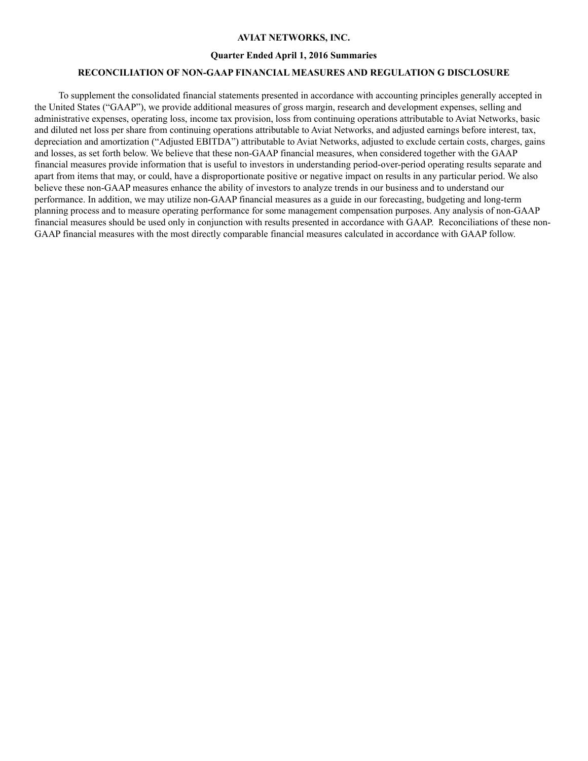### **AVIAT NETWORKS, INC.**

#### **Quarter Ended April 1, 2016 Summaries**

### **RECONCILIATION OF NON-GAAP FINANCIAL MEASURES AND REGULATION G DISCLOSURE**

To supplement the consolidated financial statements presented in accordance with accounting principles generally accepted in the United States ("GAAP"), we provide additional measures of gross margin, research and development expenses, selling and administrative expenses, operating loss, income tax provision, loss from continuing operations attributable to Aviat Networks, basic and diluted net loss per share from continuing operations attributable to Aviat Networks, and adjusted earnings before interest, tax, depreciation and amortization ("Adjusted EBITDA") attributable to Aviat Networks, adjusted to exclude certain costs, charges, gains and losses, as set forth below. We believe that these non-GAAP financial measures, when considered together with the GAAP financial measures provide information that is useful to investors in understanding period-over-period operating results separate and apart from items that may, or could, have a disproportionate positive or negative impact on results in any particular period. We also believe these non-GAAP measures enhance the ability of investors to analyze trends in our business and to understand our performance. In addition, we may utilize non-GAAP financial measures as a guide in our forecasting, budgeting and long-term planning process and to measure operating performance for some management compensation purposes. Any analysis of non-GAAP financial measures should be used only in conjunction with results presented in accordance with GAAP. Reconciliations of these non-GAAP financial measures with the most directly comparable financial measures calculated in accordance with GAAP follow.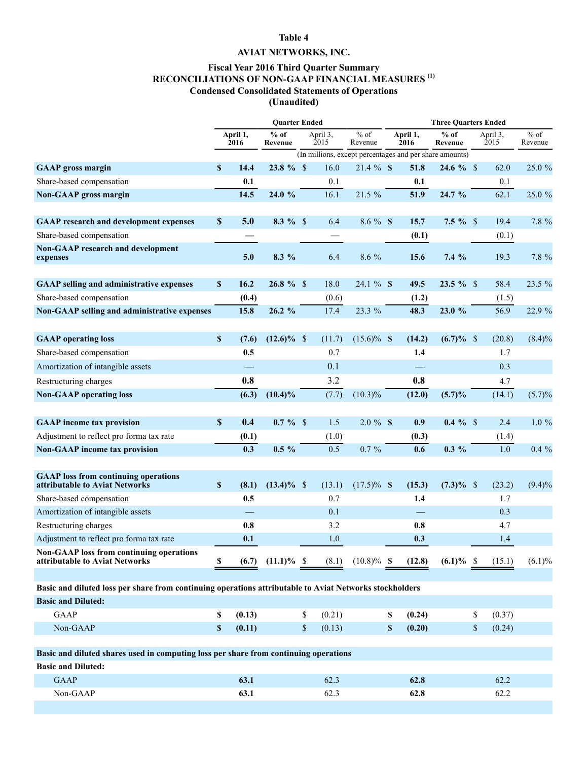# **Table 4**

## **AVIAT NETWORKS, INC.**

## **Fiscal Year 2016 Third Quarter Summary RECONCILIATIONS OF NON-GAAP FINANCIAL MEASURES (1) Condensed Consolidated Statements of Operations (Unaudited)**

|                                                                                                         | <b>Ouarter Ended</b> |                  |                       |    |                  |                       |    | <b>Three Ouarters Ended</b> |                                                         |    |                  |                   |  |  |
|---------------------------------------------------------------------------------------------------------|----------------------|------------------|-----------------------|----|------------------|-----------------------|----|-----------------------------|---------------------------------------------------------|----|------------------|-------------------|--|--|
|                                                                                                         |                      | April 1,<br>2016 | $%$ of<br>Revenue     |    | April 3,<br>2015 | $%$ of<br>Revenue     |    | April 1,<br>2016            | $%$ of<br>Revenue                                       |    | April 3,<br>2015 | $%$ of<br>Revenue |  |  |
|                                                                                                         |                      |                  |                       |    |                  |                       |    |                             | (In millions, except percentages and per share amounts) |    |                  |                   |  |  |
| <b>GAAP</b> gross margin                                                                                | $\mathbf{s}$         | 14.4             | $23.8 \%$ \$          |    | 16.0             | $21.4 \%$ \$          |    | 51.8                        | $24.6 \%$ \$                                            |    | 62.0             | 25.0 %            |  |  |
| Share-based compensation                                                                                |                      | 0.1              |                       |    | 0.1              |                       |    | 0.1                         |                                                         |    | 0.1              |                   |  |  |
| <b>Non-GAAP</b> gross margin                                                                            |                      | 14.5             | 24.0 %                |    | 16.1             | 21.5 %                |    | 51.9                        | 24.7 %                                                  |    | 62.1             | 25.0 %            |  |  |
| <b>GAAP</b> research and development expenses                                                           | $\mathbf{\$}$        | 5.0              | $8.3 \%$ \$           |    | 6.4              | $8.6 \%$ \$           |    | 15.7                        | $7.5 \%$ \$                                             |    | 19.4             | 7.8 %             |  |  |
| Share-based compensation                                                                                |                      |                  |                       |    |                  |                       |    | (0.1)                       |                                                         |    | (0.1)            |                   |  |  |
| <b>Non-GAAP research and development</b><br>expenses                                                    |                      | 5.0              | 8.3 %                 |    | 6.4              | 8.6 %                 |    | 15.6                        | 7.4%                                                    |    | 19.3             | 7.8 %             |  |  |
| <b>GAAP selling and administrative expenses</b>                                                         | $\mathbf{s}$         | 16.2             | $26.8 \%$ \$          |    | 18.0             | 24.1 % \$             |    | 49.5                        | $23.5 \%$ \$                                            |    | 58.4             | 23.5 %            |  |  |
| Share-based compensation                                                                                |                      | (0.4)            |                       |    | (0.6)            |                       |    | (1.2)                       |                                                         |    | (1.5)            |                   |  |  |
| Non-GAAP selling and administrative expenses                                                            |                      | 15.8             | 26.2%                 |    | 17.4             | 23.3 %                |    | 48.3                        | 23.0 %                                                  |    | 56.9             | 22.9 %            |  |  |
|                                                                                                         |                      |                  |                       |    |                  |                       |    |                             |                                                         |    |                  |                   |  |  |
| <b>GAAP</b> operating loss                                                                              | $\mathbb S$          | (7.6)            | $(12.6)\%$ \$         |    | (11.7)           | $(15.6)\%$ \$         |    | (14.2)                      | $(6.7) \%$ \$                                           |    | (20.8)           | $(8.4)\%$         |  |  |
| Share-based compensation                                                                                |                      | 0.5              |                       |    | 0.7              |                       |    | 1.4                         |                                                         |    | 1.7              |                   |  |  |
| Amortization of intangible assets                                                                       |                      |                  |                       |    | 0.1              |                       |    |                             |                                                         |    | 0.3              |                   |  |  |
| Restructuring charges                                                                                   |                      | 0.8              |                       |    | 3.2              |                       |    | 0.8                         |                                                         |    | 4.7              |                   |  |  |
| <b>Non-GAAP</b> operating loss                                                                          |                      | (6.3)            | $(10.4)\%$            |    | (7.7)            | $(10.3)\%$            |    | (12.0)                      | $(5.7)\%$                                               |    | (14.1)           | (5.7)%            |  |  |
|                                                                                                         |                      |                  |                       |    |                  |                       |    |                             |                                                         |    |                  |                   |  |  |
| <b>GAAP</b> income tax provision                                                                        | \$                   | 0.4              | $0.7 \%$ \$           |    | 1.5              | $2.0 \%$ \$           |    | 0.9                         | $0.4 \%$ \$                                             |    | 2.4              | $1.0\%$           |  |  |
| Adjustment to reflect pro forma tax rate                                                                |                      | (0.1)            |                       |    | (1.0)            |                       |    | (0.3)                       |                                                         |    | (1.4)            |                   |  |  |
| <b>Non-GAAP</b> income tax provision                                                                    |                      | 0.3              | $0.5 \%$              |    | 0.5              | $0.7 \%$              |    | 0.6                         | $0.3\%$                                                 |    | 1.0              | $0.4\%$           |  |  |
|                                                                                                         |                      |                  |                       |    |                  |                       |    |                             |                                                         |    |                  |                   |  |  |
| <b>GAAP</b> loss from continuing operations<br>attributable to Aviat Networks                           | $\mathbf{s}$         | (8.1)            | $(13.4)\%$ \$         |    | (13.1)           | $(17.5)\%$ \$         |    | (15.3)                      | $(7.3)\%$ \$                                            |    | (23.2)           | $(9.4)\%$         |  |  |
| Share-based compensation                                                                                |                      | 0.5              |                       |    | 0.7              |                       |    | 1.4                         |                                                         |    | 1.7              |                   |  |  |
| Amortization of intangible assets                                                                       |                      |                  |                       |    | 0.1              |                       |    |                             |                                                         |    | 0.3              |                   |  |  |
| Restructuring charges                                                                                   |                      | 0.8              |                       |    | 3.2              |                       |    | 0.8                         |                                                         |    | 4.7              |                   |  |  |
| Adjustment to reflect pro forma tax rate                                                                |                      | 0.1              |                       |    | 1.0              |                       |    | 0.3                         |                                                         |    | 1.4              |                   |  |  |
| <b>Non-GAAP</b> loss from continuing operations<br>attributable to Aviat Networks                       | S                    |                  | $(6.7)$ $(11.1)\%$ \$ |    |                  | $(8.1)$ $(10.8)\%$ \$ |    | (12.8)                      | $(6.1)\%$ \$                                            |    | (15.1)           | $(6.1)\%$         |  |  |
| Basic and diluted loss per share from continuing operations attributable to Aviat Networks stockholders |                      |                  |                       |    |                  |                       |    |                             |                                                         |    |                  |                   |  |  |
| <b>Basic and Diluted:</b>                                                                               |                      |                  |                       |    |                  |                       |    |                             |                                                         |    |                  |                   |  |  |
| <b>GAAP</b>                                                                                             | \$                   | (0.13)           |                       | \$ | (0.21)           |                       | S  | (0.24)                      |                                                         | \$ | (0.37)           |                   |  |  |
| Non-GAAP                                                                                                | $\mathbb S$          | (0.11)           |                       | \$ | (0.13)           |                       | \$ | (0.20)                      |                                                         | \$ | (0.24)           |                   |  |  |
|                                                                                                         |                      |                  |                       |    |                  |                       |    |                             |                                                         |    |                  |                   |  |  |
| Basic and diluted shares used in computing loss per share from continuing operations                    |                      |                  |                       |    |                  |                       |    |                             |                                                         |    |                  |                   |  |  |
| <b>Basic and Diluted:</b>                                                                               |                      |                  |                       |    |                  |                       |    |                             |                                                         |    |                  |                   |  |  |
| <b>GAAP</b>                                                                                             |                      | 63.1             |                       |    | 62.3             |                       |    | 62.8                        |                                                         |    | 62.2             |                   |  |  |
| Non-GAAP                                                                                                |                      | 63.1             |                       |    | 62.3             |                       |    | 62.8                        |                                                         |    | 62.2             |                   |  |  |